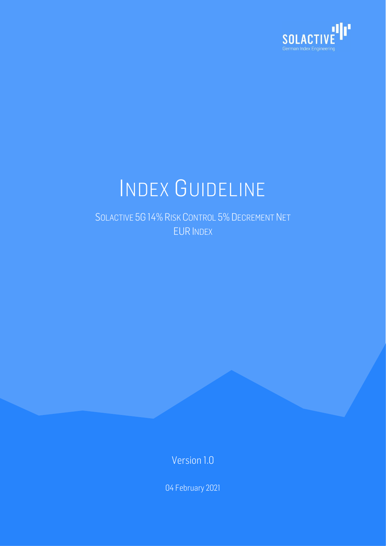

# INDEX GUIDELINE

SOLACTIVE 5G 14% RISK CONTROL 5% DECREMENT NET EUR INDEX

Version 1.0

04 February 2021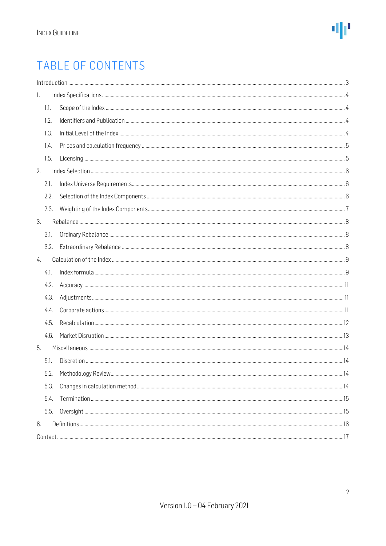# TABLE OF CONTENTS

| 1. |      |  |  |  |  |  |  |
|----|------|--|--|--|--|--|--|
|    | 1.1. |  |  |  |  |  |  |
|    | 1.2. |  |  |  |  |  |  |
|    | 1.3. |  |  |  |  |  |  |
|    | 1.4. |  |  |  |  |  |  |
|    | 1.5. |  |  |  |  |  |  |
| 2. |      |  |  |  |  |  |  |
|    | 2.1. |  |  |  |  |  |  |
|    | 2.2. |  |  |  |  |  |  |
|    | 2.3. |  |  |  |  |  |  |
| 3. |      |  |  |  |  |  |  |
|    | 3.1. |  |  |  |  |  |  |
|    | 3.2. |  |  |  |  |  |  |
| 4. |      |  |  |  |  |  |  |
|    | 4.1. |  |  |  |  |  |  |
|    | 4.2. |  |  |  |  |  |  |
|    | 4.3. |  |  |  |  |  |  |
|    | 4.4. |  |  |  |  |  |  |
|    | 4.5. |  |  |  |  |  |  |
|    | 4.6. |  |  |  |  |  |  |
| 5. |      |  |  |  |  |  |  |
|    | 5.1. |  |  |  |  |  |  |
|    | 5.2. |  |  |  |  |  |  |
|    | 5.3. |  |  |  |  |  |  |
|    | 5.4. |  |  |  |  |  |  |
|    | 5.5. |  |  |  |  |  |  |
| 6. |      |  |  |  |  |  |  |
|    |      |  |  |  |  |  |  |
|    |      |  |  |  |  |  |  |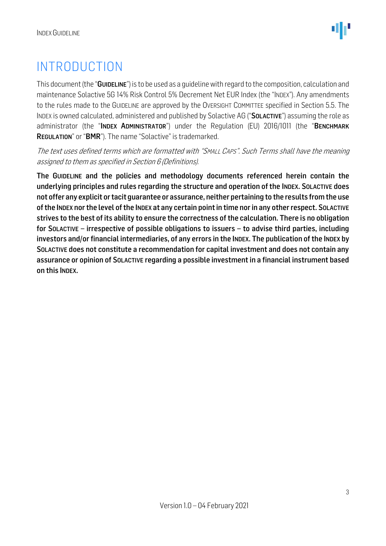# <span id="page-2-0"></span>INTRODUCTION

This document (the "GUIDELINE") is to be used as a quideline with regard to the composition, calculation and maintenance Solactive 5G 14% Risk Control 5% Decrement Net EUR Index (the "INDEX"). Any amendments to the rules made to the GUIDELINE are approved by the OVERSIGHT COMMITTEE specified in Section 5.5. The INDEX is owned calculated, administered and published by Solactive AG ("SOLACTIVE") assuming the role as administrator (the "INDEX ADMINISTRATOR") under the Regulation (EU) 2016/1011 (the "BENCHMARK REGULATION" or "BMR"). The name "Solactive" is trademarked.

The text uses defined terms which are formatted with "SMALL CAPS". Such Terms shall have the meaning assigned to them as specified in Section 6 (Definitions).

The GUIDELINE and the policies and methodology documents referenced herein contain the underlying principles and rules regarding the structure and operation of the INDEX. SOLACTIVE does not offer any explicit or tacit guarantee or assurance, neither pertaining to the results from the use of the INDEX nor the level of the INDEX at any certain point in time nor in any other respect. SOLACTIVE strives to the best of its ability to ensure the correctness of the calculation. There is no obligation for SOLACTIVE – irrespective of possible obligations to issuers – to advise third parties, including investors and/or financial intermediaries, of any errors in the INDEX. The publication of the INDEX by SOLACTIVE does not constitute a recommendation for capital investment and does not contain any assurance or opinion of SOLACTIVE regarding a possible investment in a financial instrument based on this INDEX.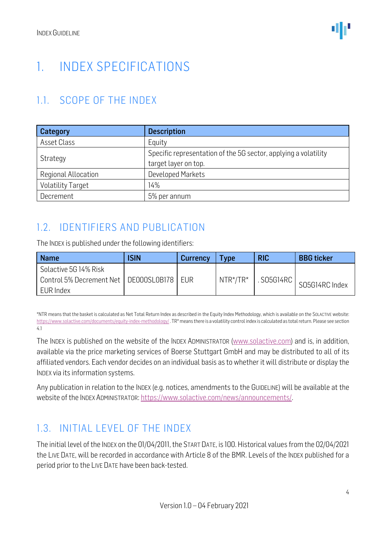# <span id="page-3-0"></span>1. INDEX SPECIFICATIONS

# <span id="page-3-1"></span>1.1. SCOPE OF THE INDEX

| Category                   | <b>Description</b>                                              |  |  |  |
|----------------------------|-----------------------------------------------------------------|--|--|--|
| Asset Class                | Equity                                                          |  |  |  |
|                            | Specific representation of the 5G sector, applying a volatility |  |  |  |
| Strategy                   | target layer on top.                                            |  |  |  |
| <b>Regional Allocation</b> | <b>Developed Markets</b>                                        |  |  |  |
| <b>Volatility Target</b>   | 14%                                                             |  |  |  |
| Decrement                  | 5% per annum                                                    |  |  |  |

# <span id="page-3-2"></span>1.2. IDENTIFIERS AND PUBLICATION

The INDEX is published under the following identifiers:

| <b>Name</b>                                   | <b>ISIN</b> | Currency | <b>Vpe</b>   | <b>RIC</b> | <b>BBG</b> ticker |
|-----------------------------------------------|-------------|----------|--------------|------------|-------------------|
| Solactive 5G 14% Risk                         |             |          |              |            |                   |
| Control 5% Decrement Net   DE000SL0B178   EUR |             |          | $NTR* / TR*$ | S05G14RC   | SO5G14RC Index    |
| EUR Index                                     |             |          |              |            |                   |

\*NTR means that the basket is calculated as Net Total Return Index as described in the Equity Index Methodology, which is available on the SOLACTIVE website: [https://www.solactive.com/documents/equity-index-methodology/.](https://www.solactive.com/documents/equity-index-methodology/) TR\* means there is a volatility control index is calculated as total return. Please see section 4.1

The INDEX is published on the website of the INDEX ADMINISTRATOR [\(www.solactive.com\)](http://www.solactive.com/) and is, in addition, available via the price marketing services of Boerse Stuttgart GmbH and may be distributed to all of its affiliated vendors. Each vendor decides on an individual basis as to whether it will distribute or display the INDEX via its information systems.

Any publication in relation to the INDEX (e.g. notices, amendments to the GUIDELINE) will be available at the website of the INDEX ADMINISTRATOR: [https://www.solactive.com/news/announcements/.](https://www.solactive.com/news/announcements/)

### <span id="page-3-3"></span>1.3. INITIAL LEVEL OF THE INDEX

The initial level of the INDEX on the 01/04/2011, the START DATE, is 100. Historical values from the 02/04/2021 the LIVE DATE, will be recorded in accordance with Article 8 of the BMR. Levels of the INDEX published for a period prior to the LIVE DATE have been back-tested.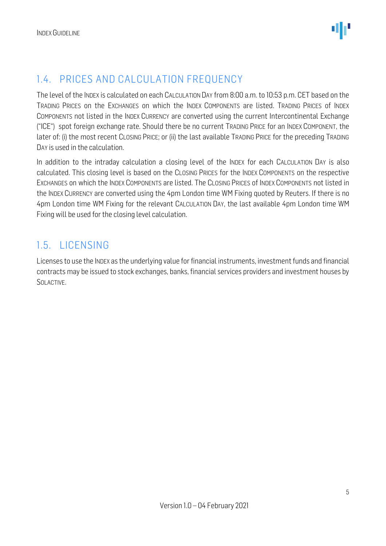### <span id="page-4-0"></span>1.4. PRICES AND CALCULATION FREQUENCY

The level of the INDEX is calculated on each CALCULATION DAY from 8:00 a.m. to 10:53 p.m. CET based on the TRADING PRICES on the EXCHANGES on which the INDEX COMPONENTS are listed. TRADING PRICES of INDEX COMPONENTS not listed in the INDEX CURRENCY are converted using the current Intercontinental Exchange ("ICE") spot foreign exchange rate. Should there be no current TRADING PRICE for an INDEX COMPONENT, the later of: (i) the most recent CLOSING PRICE; or (ii) the last available TRADING PRICE for the preceding TRADING DAY is used in the calculation.

In addition to the intraday calculation a closing level of the INDEX for each CALCULATION DAY is also calculated. This closing level is based on the CLOSING PRICES for the INDEX COMPONENTS on the respective EXCHANGES on which the INDEX COMPONENTS are listed. The CLOSING PRICES of INDEX COMPONENTS not listed in the INDEX CURRENCY are converted using the 4pm London time WM Fixing quoted by Reuters. If there is no 4pm London time WM Fixing for the relevant CALCULATION DAY, the last available 4pm London time WM Fixing will be used for the closing level calculation.

#### <span id="page-4-1"></span>1.5. LICENSING

Licenses to use the INDEX as the underlying value for financial instruments, investment funds and financial contracts may be issued to stock exchanges, banks, financial services providers and investment houses by SOLACTIVE.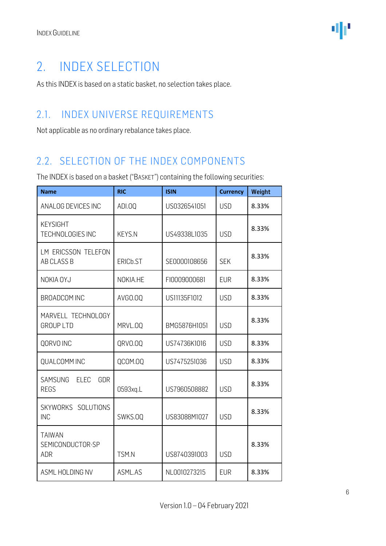# <span id="page-5-0"></span>2. INDEX SELECTION

As this INDEX is based on a static basket, no selection takes place.

### <span id="page-5-1"></span>2.1. INDEX UNIVERSE REQUIREMENTS

Not applicable as no ordinary rebalance takes place.

### <span id="page-5-2"></span>2.2. SELECTION OF THE INDEX COMPONENTS

The INDEX is based on a basket ("BASKET") containing the following securities:

| <b>Name</b>                                     | <b>RIC</b>     | <b>ISIN</b>  | <b>Currency</b> | Weight |
|-------------------------------------------------|----------------|--------------|-----------------|--------|
| ANALOG DEVICES INC                              | ADI.00         | US0326541051 | <b>USD</b>      | 8.33%  |
| <b>KEYSIGHT</b><br><b>TECHNOLOGIES INC</b>      | <b>KEYS.N</b>  | US49338L1035 | <b>USD</b>      | 8.33%  |
| LM ERICSSON TELEFON<br>AB CLASS B               | ERICb.ST       | SE0000108656 | <b>SEK</b>      | 8.33%  |
| NOKIA OYJ                                       | NOKIA.HE       | FI0009000681 | <b>EUR</b>      | 8.33%  |
| <b>BROADCOM INC</b>                             | AVG0.00        | US11135F1012 | <b>USD</b>      | 8.33%  |
| MARVELL TECHNOLOGY<br><b>GROUP LTD</b>          | MRVL.0Q        | BMG5876H1051 | <b>USD</b>      | 8.33%  |
| QORVO INC                                       | QRVO.OQ        | US74736K1016 | <b>USD</b>      | 8.33%  |
| <b>QUALCOMM INC</b>                             | <b>QCOM.00</b> | US7475251036 | <b>USD</b>      | 8.33%  |
| SAMSUNG<br><b>ELEC</b><br>GDR<br><b>REGS</b>    | 0593xg.L       | US7960508882 | <b>USD</b>      | 8.33%  |
| SKYWORKS SOLUTIONS<br><b>INC</b>                | SWKS.OO        | US83088M1027 | <b>USD</b>      | 8.33%  |
| <b>TAIWAN</b><br>SEMICONDUCTOR-SP<br><b>ADR</b> | TSM.N          | US8740391003 | <b>USD</b>      | 8.33%  |
| ASML HOLDING NV                                 | ASML.AS        | NL0010273215 | <b>EUR</b>      | 8.33%  |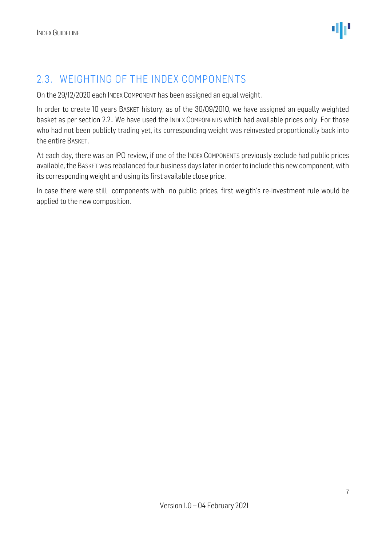#### <span id="page-6-0"></span>2.3. WEIGHTING OF THE INDEX COMPONENTS

On the 29/12/2020 each INDEX COMPONENT has been assigned an equal weight.

In order to create 10 years BASKET history, as of the 30/09/2010, we have assigned an equally weighted basket as per section 2.2.. We have used the INDEX COMPONENTS which had available prices only. For those who had not been publicly trading yet, its corresponding weight was reinvested proportionally back into the entire BASKET.

At each day, there was an IPO review, if one of the INDEX COMPONENTS previously exclude had public prices available, the BASKET was rebalanced four business days later in order to include this new component, with its corresponding weight and using its first available close price.

In case there were still components with no public prices, first weigth's re-investment rule would be applied to the new composition.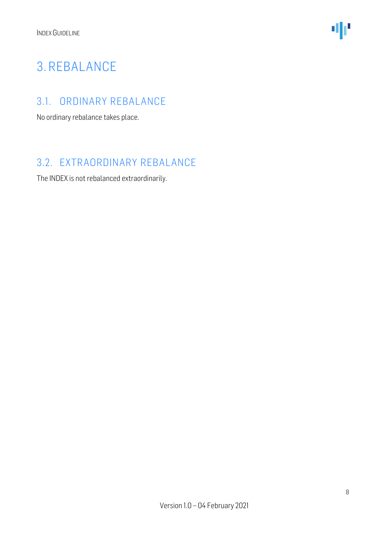

# <span id="page-7-0"></span>3. REBALANCE

#### <span id="page-7-1"></span>3.1. ORDINARY REBALANCE

No ordinary rebalance takes place.

### <span id="page-7-2"></span>3.2. EXTRAORDINARY REBALANCE

The INDEX is not rebalanced extraordinarily.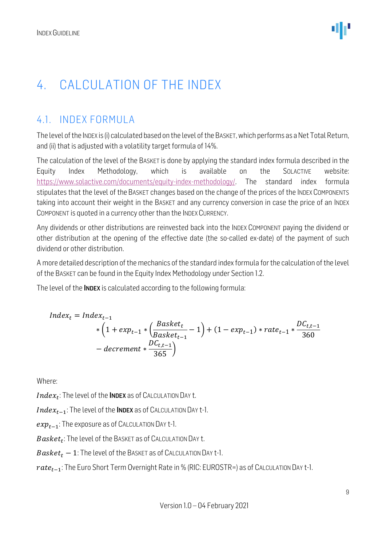# <span id="page-8-0"></span>4. CALCULATION OF THE INDEX

# <span id="page-8-1"></span>4.1. INDEX FORMULA

The level of the INDEX is (i) calculated based on the level of the BASKET, which performs as a Net Total Return, and (ii) that is adjusted with a volatility target formula of 14%.

The calculation of the level of the BASKET is done by applying the standard index formula described in the Equity Index Methodology, which is available on the SOLACTIVE website: [https://www.solactive.com/documents/equity-index-methodology/.](https://www.solactive.com/documents/equity-index-methodology/) The standard index formula stipulates that the level of the BASKET changes based on the change of the prices of the INDEX COMPONENTS taking into account their weight in the BASKET and any currency conversion in case the price of an INDEX COMPONENT is quoted in a currency other than the INDEX CURRENCY.

Any dividends or other distributions are reinvested back into the INDEX COMPONENT paying the dividend or other distribution at the opening of the effective date (the so-called ex-date) of the payment of such dividend or other distribution.

A more detailed description of the mechanics of the standard index formula for the calculation of the level of the BASKET can be found in the Equity Index Methodology under Section 1.2.

The level of the **INDEX** is calculated according to the following formula:

$$
Index_{t} = Index_{t-1}
$$
  
\n
$$
*(1 + exp_{t-1} * (\frac{Basket_{t}}{Basket_{t-1}} - 1) + (1 - exp_{t-1}) * rate_{t-1} * \frac{DC_{t,t-1}}{360})
$$
  
\n
$$
- decrement * \frac{DC_{t,t-1}}{365})
$$

Where:

 $Index_t$ : The level of the **INDEX** as of CALCULATION DAY t.

 $Index_{t-1}$ : The level of the INDEX as of CALCULATION DAY t-1.

 $exp_{t-1}$ : The exposure as of CALCULATION DAY t-1.

 $\emph{Basket}_t$ : The level of the Basket as of Calculation Day t.

 $Basket_t - 1$ : The level of the BASKET as of CALCULATION DAY t-1.

 $rate_{t-1}$ : The Euro Short Term Overnight Rate in % (RIC: EUROSTR=) as of CALCULATION DAY t-1.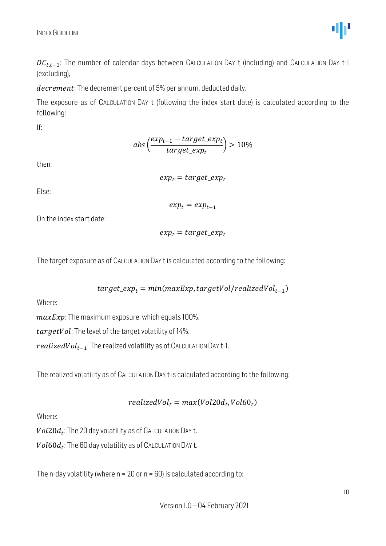

 $DC_{t,t-1}$ : The number of calendar days between CALCULATION DAY t (including) and CALCULATION DAY t-1 (excluding),

decrement: The decrement percent of 5% per annum, deducted daily.

The exposure as of CALCULATION DAY t (following the index start date) is calculated according to the following:

If:

$$
abs\left(\frac{exp_{t-1}-target\_exp_{t}}{target\_exp_{t}}\right) > 10\%
$$

then:

 $exp_t = target\_exp_t$ 

Else:

 $exp<sub>t</sub> = exp<sub>t-1</sub>$ 

On the index start date:

$$
exp_t = target\_exp_t
$$

The target exposure as of CALCULATION DAY t is calculated according to the following:

$$
target\_exp_t = min(maxExp, targetVol/realizedVol_{t-1})
$$

Where:

 $maxExp$ : The maximum exposure, which equals 100%.

tar getVol: The level of the target volatility of 14%.

 $realized Vol_{t-1}$ : The realized volatility as of CALCULATION DAY t-1.

The realized volatility as of CALCULATION DAY t is calculated according to the following:

$$
realizedVol_t = max(Vol20d_t, Vol60_t)
$$

Where:

 $\mathit{Vol}20d_t$ : The 20 day volatility as of CALCULATION DAY t.

 $\mathit{Vol60d}_t$ : The 60 day volatility as of CALCULATION DAY t.

The n-day volatility (where  $n = 20$  or  $n = 60$ ) is calculated according to: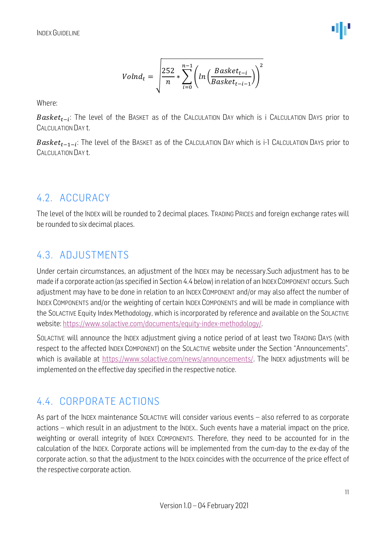$$
Volume_t = \sqrt{\frac{252}{n} * \sum_{i=0}^{n-1} \left( ln \left( \frac{Baseket_{t-i}}{Baselet_{t-i-1}} \right) \right)^2}
$$

Where:

 $Basket_{t-i}$ : The level of the BaskET as of the CALCULATION DAY which is i CALCULATION DAYS prior to CALCULATION DAY t.

 $\textit{Basket}_{t-1-i}$ : The level of the BaskET as of the Calculation Day which is i-1 Calculation Days prior to CALCULATION DAY t.

### <span id="page-10-0"></span>4.2. ACCURACY

The level of the INDEX will be rounded to 2 decimal places. TRADING PRICES and foreign exchange rates will be rounded to six decimal places.

### <span id="page-10-1"></span>4.3. ADJUSTMENTS

Under certain circumstances, an adjustment of the INDEX may be necessary.Such adjustment has to be made if a corporate action (as specified in Section 4.4 below) in relation of an INDEXCOMPONENT occurs. Such adjustment may have to be done in relation to an INDEX COMPONENT and/or may also affect the number of INDEX COMPONENTS and/or the weighting of certain INDEX COMPONENTS and will be made in compliance with the SOLACTIVE Equity Index Methodology, which is incorporated by reference and available on the SOLACTIVE website: [https://www.solactive.com/documents/equity-index-methodology/.](https://www.solactive.com/documents/equity-index-methodology/)

SOLACTIVE will announce the INDEX adjustment giving a notice period of at least two TRADING DAYS (with respect to the affected INDEX COMPONENT) on the SOLACTIVE website under the Section "Announcements", which is available at [https://www.solactive.com/news/announcements/.](https://www.solactive.com/news/announcements/) The INDEX adjustments will be implemented on the effective day specified in the respective notice.

### <span id="page-10-2"></span>4.4. CORPORATE ACTIONS

As part of the INDEX maintenance SOLACTIVE will consider various events – also referred to as corporate actions – which result in an adjustment to the INDEX.. Such events have a material impact on the price, weighting or overall integrity of INDEX COMPONENTS. Therefore, they need to be accounted for in the calculation of the INDEX. Corporate actions will be implemented from the cum-day to the ex-day of the corporate action, so that the adjustment to the INDEX coincides with the occurrence of the price effect of the respective corporate action.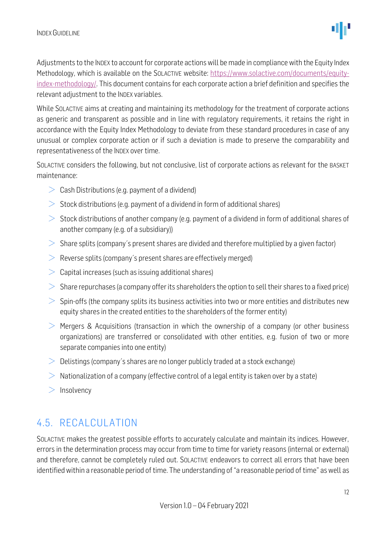

Adjustments to the INDEX to account for corporate actions will be made in compliance with the Equity Index Methodology, which is available on the SOLACTIVE website: [https://www.solactive.com/documents/equity](https://www.solactive.com/documents/equity-index-methodology/)[index-methodology/.](https://www.solactive.com/documents/equity-index-methodology/) This document contains for each corporate action a brief definition and specifies the relevant adjustment to the INDEX variables.

While SOLACTIVE aims at creating and maintaining its methodology for the treatment of corporate actions as generic and transparent as possible and in line with regulatory requirements, it retains the right in accordance with the Equity Index Methodology to deviate from these standard procedures in case of any unusual or complex corporate action or if such a deviation is made to preserve the comparability and representativeness of the INDEX over time.

SOLACTIVE considers the following, but not conclusive, list of corporate actions as relevant for the BASKET maintenance:

- $\geq$  Cash Distributions (e.g. payment of a dividend)
- $>$  Stock distributions (e.g. payment of a dividend in form of additional shares)
- $>$  Stock distributions of another company (e.g. payment of a dividend in form of additional shares of another company (e.g. of a subsidiary))
- $>$  Share splits (company's present shares are divided and therefore multiplied by a given factor)
- $\geq$  Reverse splits (company's present shares are effectively merged)
- $\geq$  Capital increases (such as issuing additional shares)
- $>$  Share repurchases (a company offer its shareholders the option to sell their shares to a fixed price)
- $>$  Spin-offs (the company splits its business activities into two or more entities and distributes new equity shares in the created entities to the shareholders of the former entity)
- $\geq$  Mergers & Acquisitions (transaction in which the ownership of a company (or other business organizations) are transferred or consolidated with other entities, e.g. fusion of two or more separate companies into one entity)
- $\geq$  Delistings (company's shares are no longer publicly traded at a stock exchange)
- $>$  Nationalization of a company (effective control of a legal entity is taken over by a state)
- $>$  Insolvency

### <span id="page-11-0"></span>4.5. RECALCULATION

SOLACTIVE makes the greatest possible efforts to accurately calculate and maintain its indices. However, errors in the determination process may occur from time to time for variety reasons (internal or external) and therefore, cannot be completely ruled out. SOLACTIVE endeavors to correct all errors that have been identified within a reasonable period of time. The understanding of "a reasonable period of time" as well as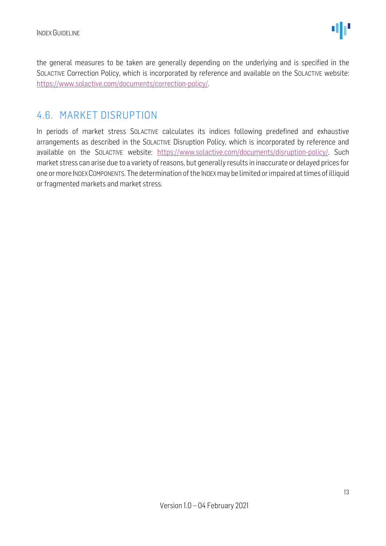the general measures to be taken are generally depending on the underlying and is specified in the SOLACTIVE Correction Policy, which is incorporated by reference and available on the SOLACTIVE website: [https://www.solactive.com/documents/correction-policy/.](https://www.solactive.com/documents/correction-policy/)

#### <span id="page-12-0"></span>4.6. MARKET DISRUPTION

In periods of market stress SOLACTIVE calculates its indices following predefined and exhaustive arrangements as described in the SOLACTIVE Disruption Policy, which is incorporated by reference and available on the SOLACTIVE website: [https://www.solactive.com/documents/disruption-policy/.](https://www.solactive.com/documents/disruption-policy/) Such market stress can arise due to a variety of reasons, but generally results in inaccurate or delayed prices for one or more INDEXCOMPONENTS. The determination of the INDEXmay be limited or impaired at times of illiquid or fragmented markets and market stress.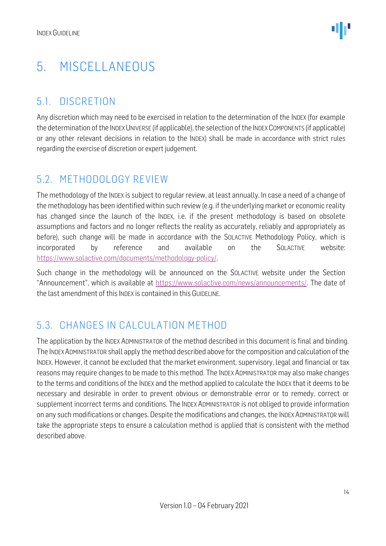# <span id="page-13-0"></span>5. MISCELLANEOUS

### <span id="page-13-1"></span>5.1. DISCRETION

Any discretion which may need to be exercised in relation to the determination of the INDEX (for example the determination of the INDEX UNIVERSE (if applicable), the selection of the INDEX COMPONENTS (if applicable) or any other relevant decisions in relation to the INDEX) shall be made in accordance with strict rules regarding the exercise of discretion or expert judgement.

#### <span id="page-13-2"></span>5.2. METHODOLOGY REVIEW

The methodology of the INDEX is subject to regular review, at least annually. In case a need of a change of the methodology has been identified within such review (e.g. if the underlying market or economic reality has changed since the launch of the INDEX, i.e. if the present methodology is based on obsolete assumptions and factors and no longer reflects the reality as accurately, reliably and appropriately as before), such change will be made in accordance with the SOLACTIVE Methodology Policy, which is incorporated by reference and available on the SOLACTIVE website: [https://www.solactive.com/documents/methodology-policy/.](https://www.solactive.com/documents/methodology-policy/)

Such change in the methodology will be announced on the SOLACTIVE website under the Section "Announcement", which is available at [https://www.solactive.com/news/announcements/.](https://www.solactive.com/news/announcements/) The date of the last amendment of this INDEX is contained in this GUIDELINE.

### <span id="page-13-3"></span>5.3. CHANGES IN CALCULATION METHOD

The application by the INDEX ADMINISTRATOR of the method described in this document is final and binding. The INDEXADMINISTRATOR shall apply the method described above for the composition and calculation of the INDEX. However, it cannot be excluded that the market environment, supervisory, legal and financial or tax reasons may require changes to be made to this method. The INDEX ADMINISTRATOR may also make changes to the terms and conditions of the INDEX and the method applied to calculate the INDEX that it deems to be necessary and desirable in order to prevent obvious or demonstrable error or to remedy, correct or supplement incorrect terms and conditions. The INDEX ADMINISTRATOR is not obliged to provide information on any such modifications or changes. Despite the modifications and changes, the INDEX ADMINISTRATOR will take the appropriate steps to ensure a calculation method is applied that is consistent with the method described above.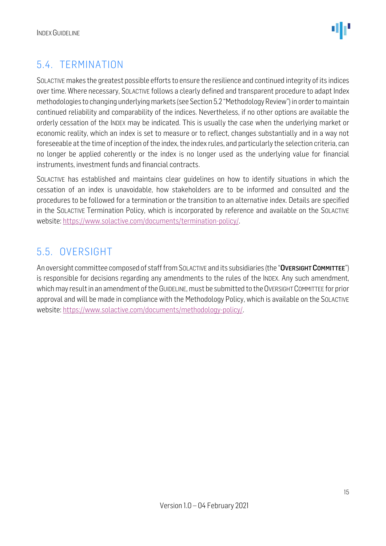

# <span id="page-14-0"></span>5.4. TERMINATION

SOLACTIVE makes the greatest possible efforts to ensure the resilience and continued integrity of its indices over time. Where necessary, SOLACTIVE follows a clearly defined and transparent procedure to adapt Index methodologies to changing underlying markets (see Section 5.2 "Methodology Review") in order to maintain continued reliability and comparability of the indices. Nevertheless, if no other options are available the orderly cessation of the INDEX may be indicated. This is usually the case when the underlying market or economic reality, which an index is set to measure or to reflect, changes substantially and in a way not foreseeable at the time of inception of the index, the index rules, and particularly the selection criteria, can no longer be applied coherently or the index is no longer used as the underlying value for financial instruments, investment funds and financial contracts.

SOLACTIVE has established and maintains clear guidelines on how to identify situations in which the cessation of an index is unavoidable, how stakeholders are to be informed and consulted and the procedures to be followed for a termination or the transition to an alternative index. Details are specified in the SOLACTIVE Termination Policy, which is incorporated by reference and available on the SOLACTIVE website: [https://www.solactive.com/documents/termination-policy/.](https://www.solactive.com/documents/termination-policy/)

### <span id="page-14-1"></span>5.5. OVERSIGHT

An oversight committee composed of staff from SOLACTIVE and its subsidiaries (the "OVERSIGHT COMMITTEE") is responsible for decisions regarding any amendments to the rules of the INDEX. Any such amendment, which may result in an amendment of the GUIDELINE, must be submitted to the OVERSIGHT COMMITTEE for prior approval and will be made in compliance with the [Methodology](http://methodology/) Policy, which is available on the SOLACTIVE website: [https://www.solactive.com/documents/methodology-policy/.](https://www.solactive.com/documents/methodology-policy/)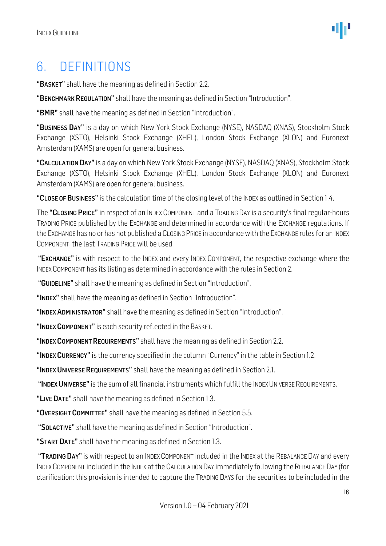# <span id="page-15-0"></span>6. DEFINITIONS

"BASKET" shall have the meaning as defined in Section 2.2.

"BENCHMARK REGULATION" shall have the meaning as defined in Section "Introduction".

"BMR" shall have the meaning as defined in Section "Introduction".

"BUSINESS DAY" is a day on which New York Stock Exchange (NYSE), NASDAQ (XNAS), Stockholm Stock Exchange (XSTO), Helsinki Stock Exchange (XHEL), London Stock Exchange (XLON) and Euronext Amsterdam (XAMS) are open for general business.

"CALCULATION DAY" is a day on which New York Stock Exchange (NYSE), NASDAQ (XNAS), Stockholm Stock Exchange (XSTO), Helsinki Stock Exchange (XHEL), London Stock Exchange (XLON) and Euronext Amsterdam (XAMS) are open for general business.

"CLOSE OF BUSINESS" is the calculation time of the closing level of the INDEX as outlined in Section 1.4.

The "CLOSING PRICE" in respect of an INDEX COMPONENT and a TRADING DAY is a security's final regular-hours TRADING PRICE published by the EXCHANGE and determined in accordance with the EXCHANGE regulations. If the EXCHANGE has no or has not published a CLOSING PRICE in accordance with the EXCHANGE rules for an INDEX COMPONENT, the last TRADING PRICE will be used.

"EXCHANGE" is with respect to the INDEX and every INDEX COMPONENT, the respective exchange where the INDEX COMPONENT has its listing as determined in accordance with the rules in Section 2.

"GUIDELINE" shall have the meaning as defined in Section "Introduction".

"INDEX" shall have the meaning as defined in Section "Introduction".

"INDEX ADMINISTRATOR" shall have the meaning as defined in Section "Introduction".

"INDEX COMPONENT" is each security reflected in the BASKET.

"INDEX COMPONENT REQUIREMENTS" shall have the meaning as defined in Section 2.2.

"INDEX CURRENCY" is the currency specified in the column "Currency" in the table in Section 1.2.

"INDEX UNIVERSE REQUIREMENTS" shall have the meaning as defined in Section 2.1.

"INDEX UNIVERSE" is the sum of all financial instruments which fulfill the INDEX UNIVERSE REQUIREMENTS.

"LIVE DATE" shall have the meaning as defined in Section 1.3.

"OVERSIGHT COMMITTEE" shall have the meaning as defined in Section 5.5.

"SOLACTIVE" shall have the meaning as defined in Section "Introduction".

"START DATE" shall have the meaning as defined in Section 1.3.

"TRADING DAY" is with respect to an INDEX COMPONENT included in the INDEX at the REBALANCE DAY and every INDEXCOMPONENT included in the INDEX at the CALCULATION DAY immediately following the REBALANCE DAY (for clarification: this provision is intended to capture the TRADING DAYS for the securities to be included in the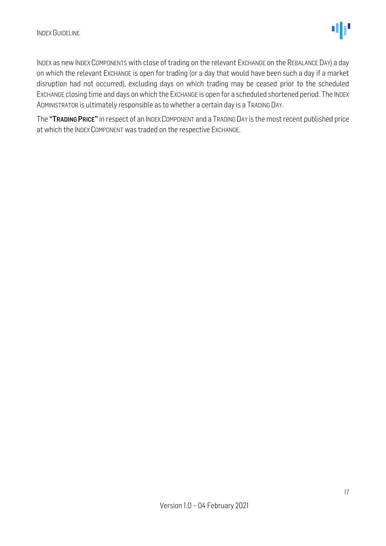INDEX as new INDEX COMPONENTS with close of trading on the relevant EXCHANGE on the REBALANCE DAY) a day on which the relevant EXCHANGE is open for trading (or a day that would have been such a day if a market disruption had not occurred), excluding days on which trading may be ceased prior to the scheduled EXCHANGE closing time and days on which the EXCHANGE is open for a scheduled shortened period. The INDEX ADMINISTRATOR is ultimately responsible as to whether a certain day is a TRADING DAY.

The "TRADING PRICE" in respect of an INDEX COMPONENT and a TRADING DAY is the most recent published price at which the INDEX COMPONENT was traded on the respective EXCHANGE.